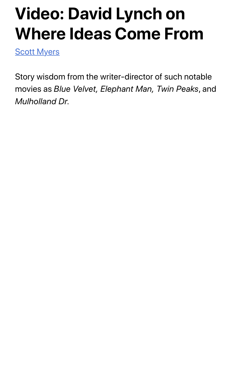## **Video: David Lynch on Where Ideas Come From**

**Scott Myers** 

Story wisdom from the writer-director of such notable movies as *Blue Velvet, Elephant Man, Twin Peaks*, and *Mulholland Dr.*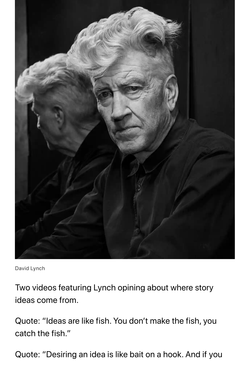

David Lynch

Two videos featuring Lynch opining about where story ideas come from.

Quote: "Ideas are like fish. You don't make the fish, you catch the fish."

Quote: "Desiring an idea is like bait on a hook. And if you